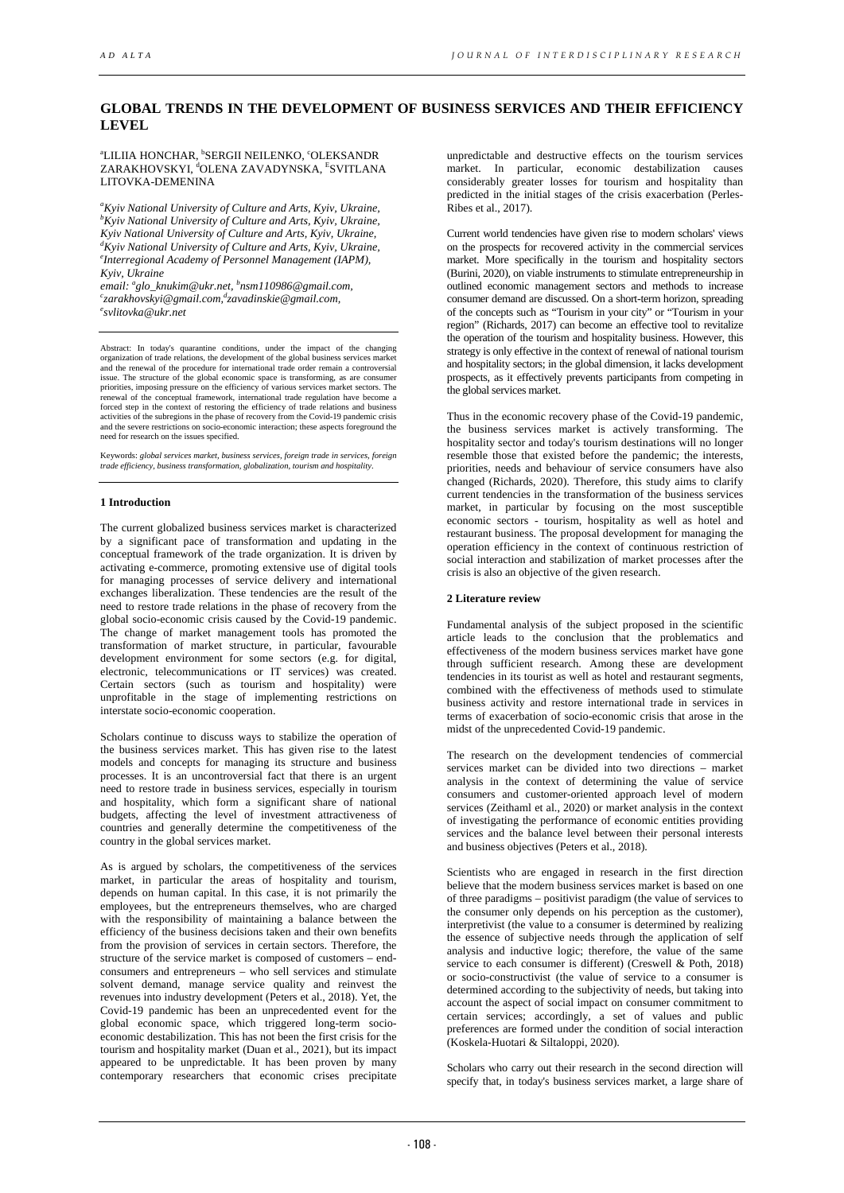# **GLOBAL TRENDS IN THE DEVELOPMENT OF BUSINESS SERVICES AND THEIR EFFICIENCY LEVEL**

<sup>a</sup>LILIIA HONCHAR, <sup>b</sup>SERGII NEILENKO, ʿOLEKSANDR ZARAKHOVSKYI, <sup>d</sup>OLENA ZAVADYNSKA, <sup>E</sup>SVITLANA LITOVKA-DEMENINA

*a Kyiv National University of Culture and Arts, Kyiv, Ukraine, b Kyiv National University of Culture and Arts, Kyiv, Ukraine,*  Kyiv National University of Culture and Arts, Kyiv, Ukraine, *Kyiv National University of Culture and Arts, Kyiv, Ukraine, e Interregional Academy of Personnel Management (IAPM), Kyiv, Ukraine* 

*email: glo\_knukim@ukr.net, b nsm110986@gmail.com, c zarakhovskyi@gmail.com,d [zavadinskie@gmail.com,](mailto:zavadinskie@gmail.com) e svlitovka@ukr.net* 

Abstract: In today's quarantine conditions, under the impact of the changing organization of trade relations, the development of the global business services market and the renewal of the procedure for international trade order remain a controversial issue. The structure of the global economic space is transforming, as are consumer priorities, imposing pressure on the efficiency of various services market sectors. The renewal of the conceptual framework, international trade regulation have become a forced step in the context of restoring the efficien need for research on the issues specified.

Keywords: *global services market, business services, foreign trade in services, foreign trade efficiency, business transformation, globalization, tourism and hospitality*.

# **1 Introduction**

The current globalized business services market is characterized by a significant pace of transformation and updating in the conceptual framework of the trade organization. It is driven by activating e-commerce, promoting extensive use of digital tools for managing processes of service delivery and international exchanges liberalization. These tendencies are the result of the need to restore trade relations in the phase of recovery from the global socio-economic crisis caused by the Covid-19 pandemic. The change of market management tools has promoted the transformation of market structure, in particular, favourable development environment for some sectors (e.g. for digital, electronic, telecommunications or IT services) was created. Certain sectors (such as tourism and hospitality) were unprofitable in the stage of implementing restrictions on interstate socio-economic cooperation.

Scholars continue to discuss ways to stabilize the operation of the business services market. This has given rise to the latest models and concepts for managing its structure and business processes. It is an uncontroversial fact that there is an urgent need to restore trade in business services, especially in tourism and hospitality, which form a significant share of national budgets, affecting the level of investment attractiveness of countries and generally determine the competitiveness of the country in the global services market.

As is argued by scholars, the competitiveness of the services market, in particular the areas of hospitality and tourism, depends on human capital. In this case, it is not primarily the employees, but the entrepreneurs themselves, who are charged with the responsibility of maintaining a balance between the efficiency of the business decisions taken and their own benefits from the provision of services in certain sectors. Therefore, the structure of the service market is composed of customers – endconsumers and entrepreneurs – who sell services and stimulate solvent demand, manage service quality and reinvest the revenues into industry development (Peters et al., 2018). Yet, the Covid-19 pandemic has been an unprecedented event for the global economic space, which triggered long-term socioeconomic destabilization. This has not been the first crisis for the tourism and hospitality market (Duan et al., 2021), but its impact appeared to be unpredictable. It has been proven by many contemporary researchers that economic crises precipitate

unpredictable and destructive effects on the tourism services market. In particular, economic destabilization causes considerably greater losses for tourism and hospitality than predicted in the initial stages of the crisis exacerbation (Perles-**Ribes et al., 2017).** 

Current world tendencies have given rise to modern scholars' views on the prospects for recovered activity in the commercial services market. More specifically in the tourism and hospitality sectors (Burini, 2020), on viable instruments to stimulate entrepreneurship in outlined economic management sectors and methods to increase consumer demand are discussed. On a short-term horizon, spreading of the concepts such as "Tourism in your city" or "Tourism in your region" (Richards, 2017) can become an effective tool to revitalize the operation of the tourism and hospitality business. However, this strategy is only effective in the context of renewal of national tourism and hospitality sectors; in the global dimension, it lacks development prospects, as it effectively prevents participants from competing in the global services market.

Thus in the economic recovery phase of the Covid-19 pandemic, the business services market is actively transforming. The hospitality sector and today's tourism destinations will no longer resemble those that existed before the pandemic; the interests, priorities, needs and behaviour of service consumers have also changed (Richards, 2020). Therefore, this study aims to clarify current tendencies in the transformation of the business services market, in particular by focusing on the most susceptible economic sectors - tourism, hospitality as well as hotel and restaurant business. The proposal development for managing the operation efficiency in the context of continuous restriction of social interaction and stabilization of market processes after the crisis is also an objective of the given research.

## **2 Literature review**

Fundamental analysis of the subject proposed in the scientific article leads to the conclusion that the problematics and effectiveness of the modern business services market have gone through sufficient research. Among these are development tendencies in its tourist as well as hotel and restaurant segments, combined with the effectiveness of methods used to stimulate business activity and restore international trade in services in terms of exacerbation of socio-economic crisis that arose in the midst of the unprecedented Covid-19 pandemic.

The research on the development tendencies of commercial services market can be divided into two directions – market analysis in the context of determining the value of service consumers and customer-oriented approach level of modern services (Zeithaml et al., 2020) or market analysis in the context of investigating the performance of economic entities providing services and the balance level between their personal interests and business objectives (Peters et al., 2018).

Scientists who are engaged in research in the first direction believe that the modern business services market is based on one of three paradigms – positivist paradigm (the value of services to the consumer only depends on his perception as the customer), interpretivist (the value to a consumer is determined by realizing the essence of subjective needs through the application of self analysis and inductive logic; therefore, the value of the same service to each consumer is different) (Creswell & Poth, 2018) or socio-constructivist (the value of service to a consumer is determined according to the subjectivity of needs, but taking into account the aspect of social impact on consumer commitment to certain services; accordingly, a set of values and public preferences are formed under the condition of social interaction (Koskela-Huotari & Siltaloppi, 2020).

Scholars who carry out their research in the second direction will specify that, in today's business services market, a large share of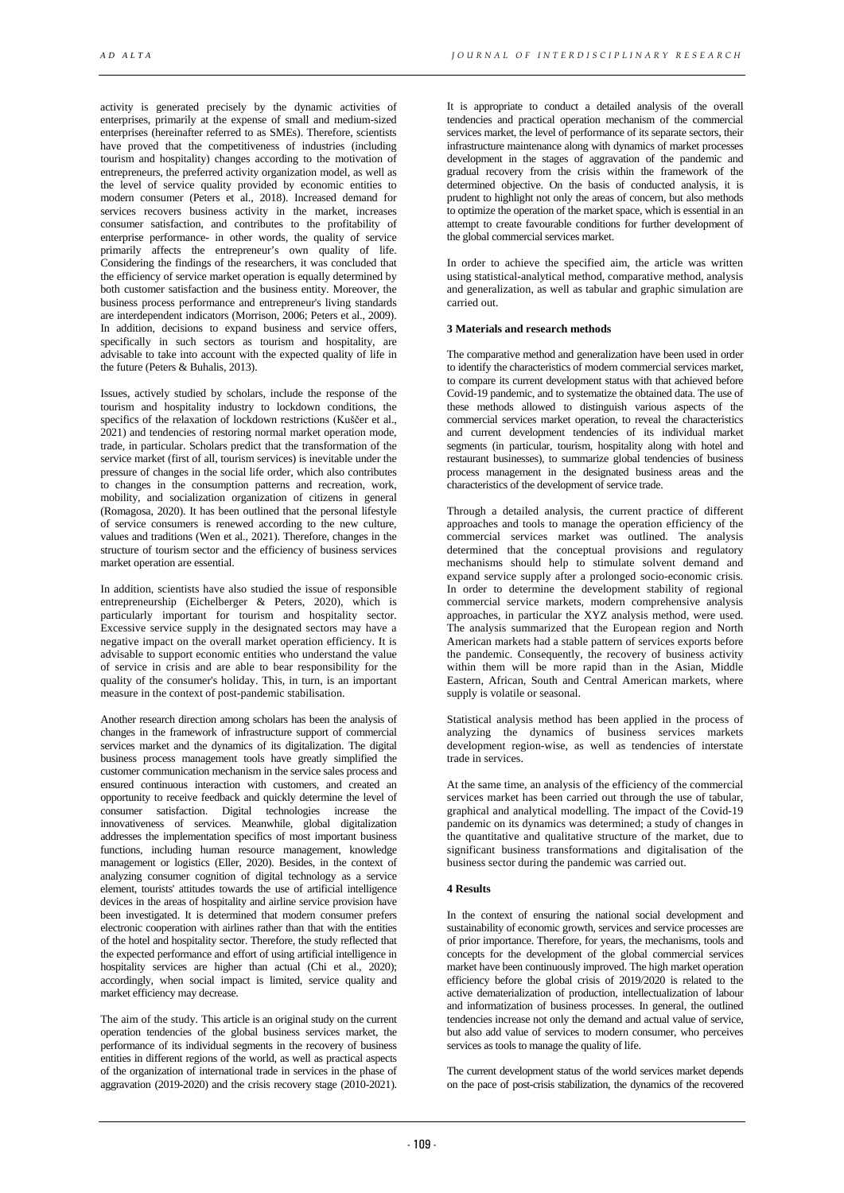activity is generated precisely by the dynamic activities of enterprises, primarily at the expense of small and medium-sized enterprises (hereinafter referred to as SMEs). Therefore, scientists have proved that the competitiveness of industries (including tourism and hospitality) changes according to the motivation of entrepreneurs, the preferred activity organization model, as well as the level of service quality provided by economic entities to modern consumer (Peters et al., 2018). Increased demand for services recovers business activity in the market, increases consumer satisfaction, and contributes to the profitability of enterprise performance- in other words, the quality of service primarily affects the entrepreneur's own quality of life. Considering the findings of the researchers, it was concluded that the efficiency of service market operation is equally determined by both customer satisfaction and the business entity. Moreover, the business process performance and entrepreneur's living standards are interdependent indicators (Morrison, 2006; Peters et al., 2009). In addition, decisions to expand business and service offers, specifically in such sectors as tourism and hospitality, are advisable to take into account with the expected quality of life in the future (Peters & Buhalis, 2013).

Issues, actively studied by scholars, include the response of the tourism and hospitality industry to lockdown conditions, the specifics of the relaxation of lockdown restrictions (Kuščer et al., 2021) and tendencies of restoring normal market operation mode, trade, in particular. Scholars predict that the transformation of the service market (first of all, tourism services) is inevitable under the pressure of changes in the social life order, which also contributes to changes in the consumption patterns and recreation, work, mobility, and socialization organization of citizens in general (Romagosa, 2020). It has been outlined that the personal lifestyle of service consumers is renewed according to the new culture, values and traditions (Wen et al., 2021). Therefore, changes in the structure of tourism sector and the efficiency of business services market operation are essential.

In addition, scientists have also studied the issue of responsible entrepreneurship (Eichelberger & Peters, 2020), which is particularly important for tourism and hospitality sector. Excessive service supply in the designated sectors may have a negative impact on the overall market operation efficiency. It is advisable to support economic entities who understand the value of service in crisis and are able to bear responsibility for the quality of the consumer's holiday. This, in turn, is an important measure in the context of post-pandemic stabilisation.

Another research direction among scholars has been the analysis of changes in the framework of infrastructure support of commercial services market and the dynamics of its digitalization. The digital business process management tools have greatly simplified the customer communication mechanism in the service sales process and ensured continuous interaction with customers, and created an opportunity to receive feedback and quickly determine the level of consumer satisfaction. Digital technologies increase the innovativeness of services. Meanwhile, global digitalization addresses the implementation specifics of most important business functions, including human resource management, knowledge management or logistics (Eller, 2020). Besides, in the context of analyzing consumer cognition of digital technology as a service element, tourists' attitudes towards the use of artificial intelligence devices in the areas of hospitality and airline service provision have been investigated. It is determined that modern consumer prefers electronic cooperation with airlines rather than that with the entities of the hotel and hospitality sector. Therefore, the study reflected that the expected performance and effort of using artificial intelligence in hospitality services are higher than actual (Chi et al., 2020); accordingly, when social impact is limited, service quality and market efficiency may decrease.

The aim of the study. This article is an original study on the current operation tendencies of the global business services market, the performance of its individual segments in the recovery of business entities in different regions of the world, as well as practical aspects of the organization of international trade in services in the phase of aggravation (2019-2020) and the crisis recovery stage (2010-2021).

It is appropriate to conduct a detailed analysis of the overall tendencies and practical operation mechanism of the commercial services market, the level of performance of its separate sectors, their infrastructure maintenance along with dynamics of market processes development in the stages of aggravation of the pandemic and gradual recovery from the crisis within the framework of the determined objective. On the basis of conducted analysis, it is prudent to highlight not only the areas of concern, but also methods to optimize the operation of the market space, which is essential in an attempt to create favourable conditions for further development of the global commercial services market.

In order to achieve the specified aim, the article was written using statistical-analytical method, comparative method, analysis and generalization, as well as tabular and graphic simulation are carried out.

## **3 Materials and research methods**

The comparative method and generalization have been used in order to identify the characteristics of modern commercial services market, to compare its current development status with that achieved before Covid-19 pandemic, and to systematize the obtained data. The use of these methods allowed to distinguish various aspects of the commercial services market operation, to reveal the characteristics and current development tendencies of its individual market segments (in particular, tourism, hospitality along with hotel and restaurant businesses), to summarize global tendencies of business process management in the designated business areas and the characteristics of the development of service trade.

Through a detailed analysis, the current practice of different approaches and tools to manage the operation efficiency of the commercial services market was outlined. The analysis determined that the conceptual provisions and regulatory mechanisms should help to stimulate solvent demand and expand service supply after a prolonged socio-economic crisis. In order to determine the development stability of regional commercial service markets, modern comprehensive analysis approaches, in particular the XYZ analysis method, were used. The analysis summarized that the European region and North American markets had a stable pattern of services exports before the pandemic. Consequently, the recovery of business activity within them will be more rapid than in the Asian, Middle Eastern, African, South and Central American markets, where supply is volatile or seasonal.

Statistical analysis method has been applied in the process of analyzing the dynamics of business services markets development region-wise, as well as tendencies of interstate trade in services.

At the same time, an analysis of the efficiency of the commercial services market has been carried out through the use of tabular, graphical and analytical modelling. The impact of the Covid-19 pandemic on its dynamics was determined; a study of changes in the quantitative and qualitative structure of the market, due to significant business transformations and digitalisation of the business sector during the pandemic was carried out.

#### **4 Results**

In the context of ensuring the national social development and sustainability of economic growth, services and service processes are of prior importance. Therefore, for years, the mechanisms, tools and concepts for the development of the global commercial services market have been continuously improved. The high market operation efficiency before the global crisis of 2019/2020 is related to the active dematerialization of production, intellectualization of labour and informatization of business processes. In general, the outlined tendencies increase not only the demand and actual value of service, but also add value of services to modern consumer, who perceives services as tools to manage the quality of life.

The current development status of the world services market depends on the pace of post-crisis stabilization, the dynamics of the recovered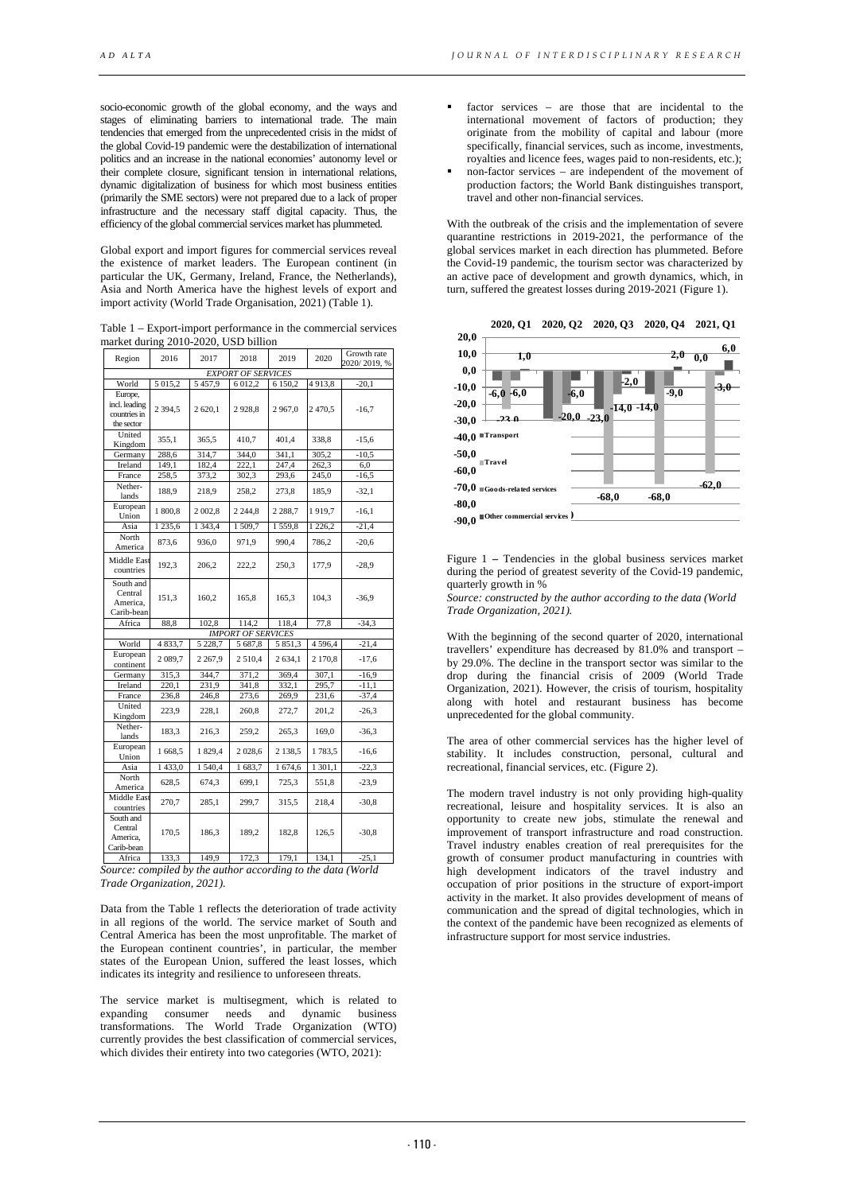socio-economic growth of the global economy, and the ways and stages of eliminating barriers to international trade. The main tendencies that emerged from the unprecedented crisis in the midst of the global Covid-19 pandemic were the destabilization of international politics and an increase in the national economies' autonomy level or their complete closure, significant tension in international relations, dynamic digitalization of business for which most business entities (primarily the SME sectors) were not prepared due to a lack of proper infrastructure and the necessary staff digital capacity. Thus, the efficiency of the global commercial services market has plummeted.

Global export and import figures for commercial services reveal the existence of market leaders. The European continent (in particular the UK, Germany, Ireland, France, the Netherlands), Asia and North America have the highest levels of export and import activity (World Trade Organisation, 2021) (Table 1).

Table 1 – Export-import performance in the commercial services market during 2010-2020, USD billion

| Region                                                 | 2016        | 2017        | 2018                      | 2019        | 2020        | Growth rate<br>2020/2019, % |
|--------------------------------------------------------|-------------|-------------|---------------------------|-------------|-------------|-----------------------------|
| <b>EXPORT OF SERVICES</b>                              |             |             |                           |             |             |                             |
| World                                                  | 5 015,2     | 5457,9      | 6 012,2                   | 6 150,2     | 4913,8      | $-20,1$                     |
| Europe,<br>incl. leading<br>countries in<br>the sector | 2 3 9 4 .5  | 2 620.1     | 2928.8                    | 2967,0      | 2470.5      | $-16,7$                     |
| United<br>Kingdom                                      | 355,1       | 365,5       | 410,7                     | 401,4       | 338,8       | $-15,6$                     |
| Germany                                                | 288,6       | 314,7       | 344,0                     | 341,1       | 305,2       | $-10,5$                     |
| Ireland                                                | 149,1       | 182,4       | 222.1                     | 247,4       | 262.3       | 6.0                         |
| France                                                 | 258,5       | 373,2       | 302,3                     | 293,6       | 245,0       | $-16,5$                     |
| Nether-<br>lands                                       | 188,9       | 218,9       | 258,2                     | 273,8       | 185,9       | $-32,1$                     |
| European<br>Union                                      | 1800,8      | 2 002.8     | 2 2 4 4 .8                | 2 2 8 8 , 7 | 1919,7      | $-16.1$                     |
| Asia                                                   | 1 2 3 5 , 6 | 1 3 4 3 , 4 | 1509,7                    | 1559,8      | 226,2<br>1  | $-21,4$                     |
| North<br>America                                       | 873,6       | 936,0       | 971,9                     | 990.4       | 786,2       | $-20,6$                     |
| <b>Middle East</b><br>countries                        | 192,3       | 206,2       | 222,2                     | 250,3       | 177,9       | $-28.9$                     |
| South and<br>Central<br>America,<br>Carib-bean         | 151,3       | 160,2       | 165.8                     | 165,3       | 104.3       | $-36.9$                     |
| Africa                                                 | 88,8        | 102,8       | 114,2                     | 118,4       | 77,8        | $-34,3$                     |
|                                                        |             |             | <b>IMPORT OF SERVICES</b> |             |             |                             |
| World                                                  | 4833,7      | 5 2 2 8 , 7 | 5 687,8                   | 5 851,3     | 4 5 9 6 , 4 | $-21,4$                     |
| European<br>continent                                  | 2089,7      | 2 2 6 7 9   | 2 5 1 0 , 4               | 2 634,1     | 2 170,8     | $-17,6$                     |
| Germany                                                | 315,3       | 344,7       | 371,2                     | 369,4       | 307,1       | $-16.9$                     |
| Ireland                                                | 220,1       | 231,9       | 341,8                     | 332,1       | 295,7       | $-11,1$                     |
| France                                                 | 236,8       | 246,8       | 273,6                     | 269,9       | 231,6       | $-37,4$                     |
| United<br>Kingdom                                      | 223,9       | 228.1       | 260,8                     | 272,7       | 201,2       | $-26,3$                     |
| Nether-<br>lands                                       | 183,3       | 216,3       | 259,2                     | 265,3       | 169,0       | $-36,3$                     |
| European<br>Union                                      | 1 668,5     | 1829,4      | 2028,6                    | 2 1 3 8 . 5 | 1783,5      | $-16,6$                     |
| Asia                                                   | 1433,0      | 1540,4      | 1683,7                    | 1674,6      | 1 301,1     | $-22,3$                     |
| North<br>America                                       | 628,5       | 674,3       | 699,1                     | 725,3       | 551,8       | $-23.9$                     |
| <b>Middle East</b><br>countries                        | 270,7       | 285,1       | 299,7                     | 315,5       | 218,4       | $-30,8$                     |
| South and<br>Central<br>America.<br>Carib-bean         | 170,5       | 186,3       | 189,2                     | 182,8       | 126.5       | $-30,8$                     |
| Africa                                                 | 133,3       | 149,9       | 172,3                     | 179,1       | 134,1       | $-25,1$                     |

*Source: compiled by the author according to the data (World Trade Organization, 2021).*

Data from the Table 1 reflects the deterioration of trade activity in all regions of the world. The service market of South and Central America has been the most unprofitable. The market of the European continent countries', in particular, the member states of the European Union, suffered the least losses, which indicates its integrity and resilience to unforeseen threats.

The service market is multisegment, which is related to expanding consumer needs and dynamic business transformations. The World Trade Organization (WTO) currently provides the best classification of commercial services, which divides their entirety into two categories (WTO, 2021):

- factor services are those that are incidental to the international movement of factors of production; they originate from the mobility of capital and labour (more specifically, financial services, such as income, investments, royalties and licence fees, wages paid to non-residents, etc.);
- non-factor services are independent of the movement of production factors; the World Bank distinguishes transport, travel and other non-financial services.

With the outbreak of the crisis and the implementation of severe quarantine restrictions in 2019-2021, the performance of the global services market in each direction has plummeted. Before the Covid-19 pandemic, the tourism sector was characterized by an active pace of development and growth dynamics, which, in turn, suffered the greatest losses during 2019-2021 (Figure 1).



Figure 1 **–** Tendencies in the global business services market during the period of greatest severity of the Covid-19 pandemic, quarterly growth in %

*Source: constructed by the author according to the data (World Trade Organization, 2021).*

With the beginning of the second quarter of 2020, international travellers' expenditure has decreased by 81.0% and transport – by 29.0%. The decline in the transport sector was similar to the drop during the financial crisis of 2009 (World Trade Organization, 2021). However, the crisis of tourism, hospitality along with hotel and restaurant business has become unprecedented for the global community.

The area of other commercial services has the higher level of stability. It includes construction, personal, cultural and recreational, financial services, etc. (Figure 2).

The modern travel industry is not only providing high-quality recreational, leisure and hospitality services. It is also an opportunity to create new jobs, stimulate the renewal and improvement of transport infrastructure and road construction. Travel industry enables creation of real prerequisites for the growth of consumer product manufacturing in countries with high development indicators of the travel industry and occupation of prior positions in the structure of export-import activity in the market. It also provides development of means of communication and the spread of digital technologies, which in the context of the pandemic have been recognized as elements of infrastructure support for most service industries.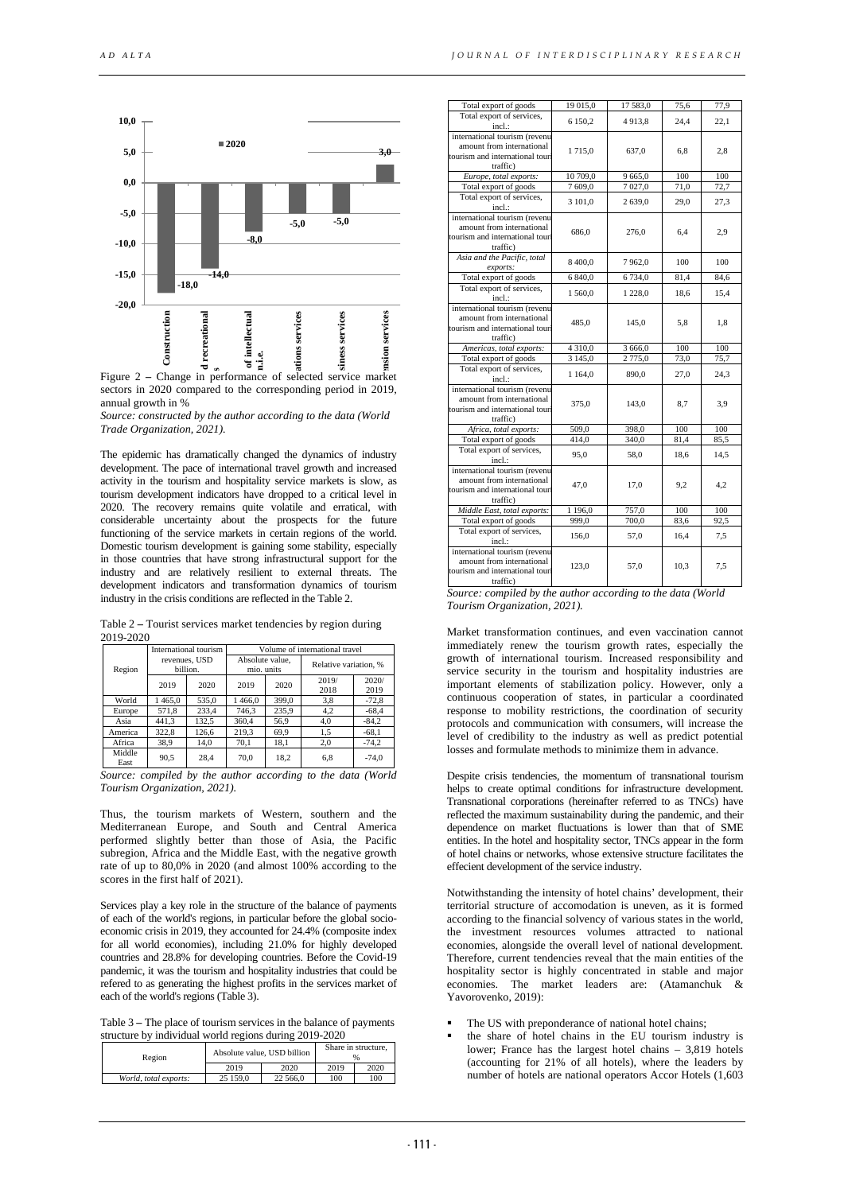



*Source: constructed by the author according to the data (World Trade Organization, 2021).*

The epidemic has dramatically changed the dynamics of industry development. The pace of international travel growth and increased activity in the tourism and hospitality service markets is slow, as tourism development indicators have dropped to a critical level in 2020. The recovery remains quite volatile and erratical, with considerable uncertainty about the prospects for the future functioning of the service markets in certain regions of the world. Domestic tourism development is gaining some stability, especially in those countries that have strong infrastructural support for the industry and are relatively resilient to external threats. The development indicators and transformation dynamics of tourism industry in the crisis conditions are reflected in the Table 2.

Table 2 **–** Tourist services market tendencies by region during 2019-2020

|                | International tourism     |       | Volume of international travel |       |                       |               |
|----------------|---------------------------|-------|--------------------------------|-------|-----------------------|---------------|
| Region         | revenues, USD<br>billion. |       | Absolute value.<br>mio. units  |       | Relative variation, % |               |
|                | 2019                      | 2020  | 2019                           | 2020  | 2019/<br>2018         | 2020/<br>2019 |
| World          | 465,0                     | 535,0 | 466,0                          | 399.0 | 3,8                   | $-72.8$       |
| Europe         | 571,8                     | 233,4 | 746,3                          | 235,9 | 4,2                   | $-68,4$       |
| Asia           | 441,3                     | 132,5 | 360.4                          | 56,9  | 4,0                   | $-84.2$       |
| America        | 322,8                     | 126,6 | 219,3                          | 69,9  | 1,5                   | $-68,1$       |
| Africa         | 38,9                      | 14,0  | 70,1                           | 18,1  | 2,0                   | $-74.2$       |
| Middle<br>East | 90,5                      | 28,4  | 70,0                           | 18,2  | 6.8                   | $-74.0$       |

*Source: compiled by the author according to the data (World Tourism Organization, 2021).*

Thus, the tourism markets of Western, southern and the Mediterranean Europe, and South and Central America performed slightly better than those of Asia, the Pacific subregion, Africa and the Middle East, with the negative growth rate of up to 80,0% in 2020 (and almost 100% according to the scores in the first half of 2021).

Services play a key role in the structure of the balance of payments of each of the world's regions, in particular before the global socioeconomic crisis in 2019, they accounted for 24.4% (composite index for all world economies), including 21.0% for highly developed countries and 28.8% for developing countries. Before the Covid-19 pandemic, it was the tourism and hospitality industries that could be refered to as generating the highest profits in the services market of each of the world's regions (Table 3).

Table 3 **–** The place of tourism services in the balance of payments structure by individual world regions during 2019-2020

| $\frac{1}{20}$ and $\frac{1}{20}$ in the victim of $\frac{1}{20}$ is the contract $\frac{1}{20}$ and $\frac{1}{20}$ |          |                             |                     |      |  |
|---------------------------------------------------------------------------------------------------------------------|----------|-----------------------------|---------------------|------|--|
| Region                                                                                                              |          | Absolute value, USD billion | Share in structure, |      |  |
|                                                                                                                     | 2019     | 2020                        | 2019                | 2020 |  |
| World, total exports:                                                                                               | 25 159.0 | 22 566.0                    | 100                 | 100  |  |

| Total export of goods                                                                                     | 19 015,0    | 17 583,0 | 75,6 | 77,9 |
|-----------------------------------------------------------------------------------------------------------|-------------|----------|------|------|
| Total export of services,<br>incl.:                                                                       | 6 150.2     | 4913.8   | 24.4 | 22.1 |
| international tourism (revenu<br>amount from international<br>tourism and international tour<br>traffic)  | 1715,0      | 637,0    | 6.8  | 2,8  |
| Europe, total exports:                                                                                    | 10 709.0    | 9 665.0  | 100  | 100  |
| Total export of goods                                                                                     | 7609,0      | 7027,0   | 71,0 | 72,7 |
| Total export of services,<br>incl.:                                                                       | 3 101,0     | 2 639,0  | 29,0 | 27.3 |
| international tourism (revenu<br>amount from international<br>tourism and international tour<br>traffic)  | 686,0       | 276,0    | 6.4  | 2,9  |
| Asia and the Pacific, total<br>exports:                                                                   | 8 400,0     | 7962,0   | 100  | 100  |
| Total export of goods                                                                                     | 6 840,0     | 6734,0   | 81,4 | 84,6 |
| Total export of services,<br>incl.:                                                                       | 1 560,0     | 1 228,0  | 18,6 | 15,4 |
| international tourism (revenu<br>amount from international<br>tourism and international tour<br>traffic)  | 485,0       | 145,0    | 5.8  | 1.8  |
| Americas, total exports:                                                                                  | 4 3 1 0 , 0 | 3 666,0  | 100  | 100  |
| Total export of goods                                                                                     | 3 1 4 5 , 0 | 2 775,0  | 73,0 | 75,7 |
| Total export of services,<br>incl.:                                                                       | 1 1 64,0    | 890,0    | 27,0 | 24,3 |
| international tourism (revenu<br>amount from international<br>tourism and international tour<br>traffic)  | 375.0       | 143.0    | 8.7  | 3,9  |
| Africa, total exports:                                                                                    | 509,0       | 398,0    | 100  | 100  |
| Total export of goods                                                                                     | 414.0       | 340.0    | 81,4 | 85,5 |
| Total export of services,<br>incl.:                                                                       | 95.0        | 58,0     | 18.6 | 14.5 |
| international tourism (revenu<br>amount from international<br>tourism and international tour<br>traffic)  | 47.0        | 17.0     | 9.2  | 4.2  |
| Middle East, total exports:                                                                               | 1 1 9 6 0   | 757,0    | 100  | 100  |
| Total export of goods                                                                                     | 999,0       | 700.0    | 83,6 | 92.5 |
| Total export of services,<br>incl.:                                                                       | 156,0       | 57,0     | 16.4 | 7.5  |
| international tourism (revenu<br>amount from international<br>tourism and international touri<br>traffic) | 123,0       | 57,0     | 10.3 | 7.5  |
|                                                                                                           |             |          |      |      |

*Source: compiled by the author according to the data (World Tourism Organization, 2021).*

Market transformation continues, and even vaccination cannot immediately renew the tourism growth rates, especially the growth of international tourism. Increased responsibility and service security in the tourism and hospitality industries are important elements of stabilization policy. However, only a continuous cooperation of states, in particular a coordinated response to mobility restrictions, the coordination of security protocols and communication with consumers, will increase the level of credibility to the industry as well as predict potential losses and formulate methods to minimize them in advance.

Despite crisis tendencies, the momentum of transnational tourism helps to create optimal conditions for infrastructure development. Transnational corporations (hereinafter referred to as TNCs) have reflected the maximum sustainability during the pandemic, and their dependence on market fluctuations is lower than that of SME entities. In the hotel and hospitality sector, TNCs appear in the form of hotel chains or networks, whose extensive structure facilitates the effecient development of the service industry.

Notwithstanding the intensity of hotel chains' development, their territorial structure of accomodation is uneven, as it is formed according to the financial solvency of various states in the world, the investment resources volumes attracted to national economies, alongside the overall level of national development. Therefore, current tendencies reveal that the main entities of the hospitality sector is highly concentrated in stable and major economies. The market leaders are: (Atamanchuk & Yavorovenko, 2019):

- The US with preponderance of national hotel chains;
- the share of hotel chains in the EU tourism industry is lower; France has the largest hotel chains – 3,819 hotels (accounting for 21% of all hotels), where the leaders by number of hotels are national operators Accor Hotels (1,603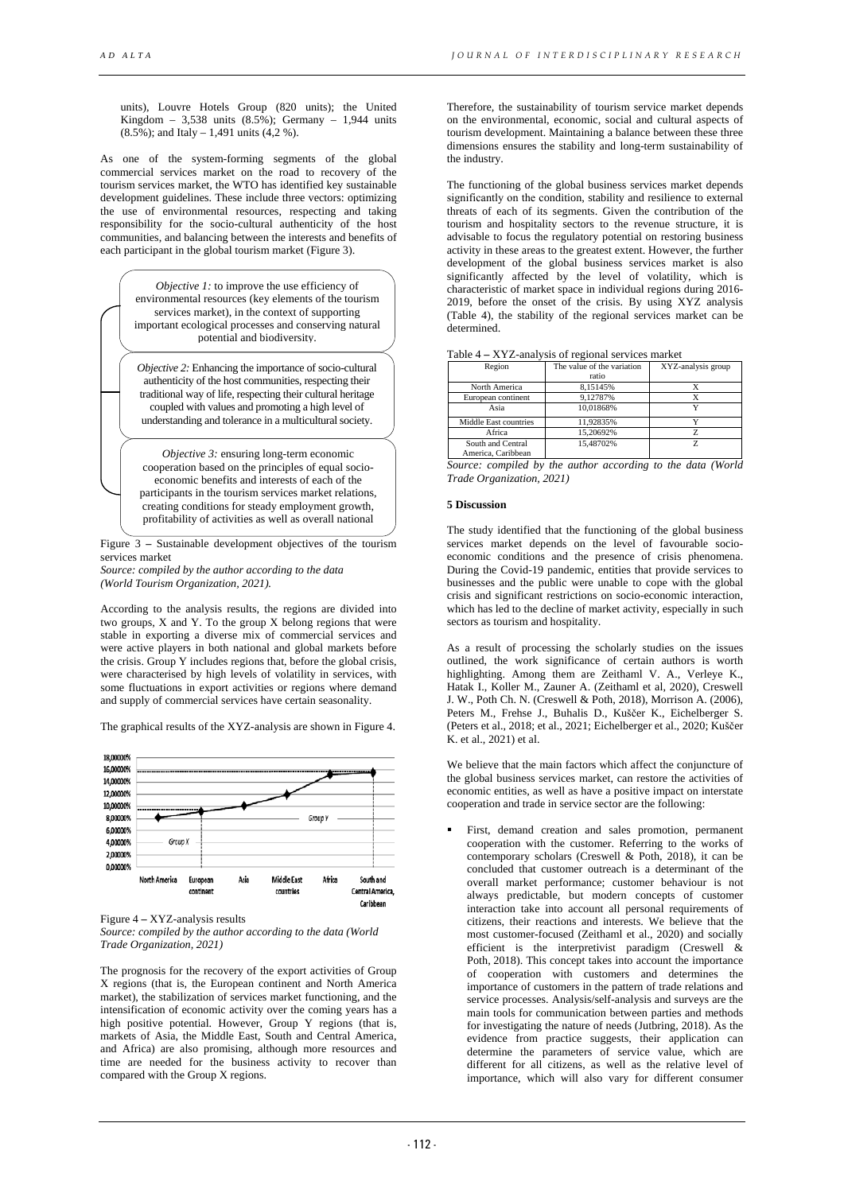units), Louvre Hotels Group (820 units); the United Kingdom – 3,538 units  $(8.5\%)$ ; Germany – 1,944 units (8.5%); and Italy – 1,491 units (4,2 %).

As one of the system-forming segments of the global commercial services market on the road to recovery of the tourism services market, the WTO has identified key sustainable development guidelines. These include three vectors: optimizing the use of environmental resources, respecting and taking responsibility for the socio-cultural authenticity of the host communities, and balancing between the interests and benefits of each participant in the global tourism market (Figure 3).

| <i>Objective 1:</i> to improve the use efficiency of<br>environmental resources (key elements of the tourism<br>services market), in the context of supporting<br>important ecological processes and conserving natural<br>notential and biodiversity.                                                                             |  |
|------------------------------------------------------------------------------------------------------------------------------------------------------------------------------------------------------------------------------------------------------------------------------------------------------------------------------------|--|
| <i>Objective 2:</i> Enhancing the importance of socio-cultural<br>authenticity of the host communities, respecting their<br>traditional way of life, respecting their cultural heritage<br>coupled with values and promoting a high level of<br>understanding and tolerance in a multicultural society.                            |  |
| <i>Objective 3:</i> ensuring long-term economic<br>cooperation based on the principles of equal socio-<br>economic benefits and interests of each of the<br>participants in the tourism services market relations,<br>creating conditions for steady employment growth,<br>profitability of activities as well as overall national |  |

Figure 3 **–** Sustainable development objectives of the tourism services market

*Source: compiled by the author according to the data (World Tourism Organization, 2021).*

According to the analysis results, the regions are divided into two groups, X and Y. To the group X belong regions that were stable in exporting a diverse mix of commercial services and were active players in both national and global markets before the crisis. Group Y includes regions that, before the global crisis, were characterised by high levels of volatility in services, with some fluctuations in export activities or regions where demand and supply of commercial services have certain seasonality.

The graphical results of the XYZ-analysis are shown in Figure 4.



Figure 4 **–** XYZ-analysis results

*Source: compiled by the author according to the data (World Trade Organization, 2021)*

The prognosis for the recovery of the export activities of Group X regions (that is, the European continent and North America market), the stabilization of services market functioning, and the intensification of economic activity over the coming years has a high positive potential. However, Group Y regions (that is, markets of Asia, the Middle East, South and Central America, and Africa) are also promising, although more resources and time are needed for the business activity to recover than compared with the Group X regions.

Therefore, the sustainability of tourism service market depends on the environmental, economic, social and cultural aspects of tourism development. Maintaining a balance between these three dimensions ensures the stability and long-term sustainability of the industry.

The functioning of the global business services market depends significantly on the condition, stability and resilience to external threats of each of its segments. Given the contribution of the tourism and hospitality sectors to the revenue structure, it is advisable to focus the regulatory potential on restoring business activity in these areas to the greatest extent. However, the further development of the global business services market is also significantly affected by the level of volatility, which is characteristic of market space in individual regions during 2016- 2019, before the onset of the crisis. By using XYZ analysis (Table 4), the stability of the regional services market can be determined.

| Region                | The value of the variation | XYZ-analysis group |  |
|-----------------------|----------------------------|--------------------|--|
|                       | ratio                      |                    |  |
| North America         | 8.15145%                   |                    |  |
| European continent    | 9.12787%                   |                    |  |
| Asia                  | 10.01868%                  |                    |  |
| Middle East countries | 11,92835%                  |                    |  |
| Africa                | 15.20692%                  |                    |  |
| South and Central     | 15.48702%                  |                    |  |
| America, Caribbean    |                            |                    |  |

*Source: compiled by the author according to the data (World Trade Organization, 2021)*

# **5 Discussion**

The study identified that the functioning of the global business services market depends on the level of favourable socioeconomic conditions and the presence of crisis phenomena. During the Covid-19 pandemic, entities that provide services to businesses and the public were unable to cope with the global crisis and significant restrictions on socio-economic interaction, which has led to the decline of market activity, especially in such sectors as tourism and hospitality.

As a result of processing the scholarly studies on the issues outlined, the work significance of certain authors is worth highlighting. Among them are Zeithaml V. A., Verleye K., Hatak I., Koller M., Zauner A. (Zeithaml et al, 2020), Creswell J. W., Poth Ch. N. (Creswell & Poth, 2018), Morrison A. (2006), Peters M., Frehse J., Buhalis D., Kuščer K., Eichelberger S. (Peters et al., 2018; et al., 2021; Eichelberger et al., 2020; Kuščer K. et al., 2021) et al.

We believe that the main factors which affect the conjuncture of the global business services market, can restore the activities of economic entities, as well as have a positive impact on interstate cooperation and trade in service sector are the following:

 First, demand creation and sales promotion, permanent cooperation with the customer. Referring to the works of contemporary scholars (Creswell & Poth, 2018), it can be concluded that customer outreach is a determinant of the overall market performance; customer behaviour is not always predictable, but modern concepts of customer interaction take into account all personal requirements of citizens, their reactions and interests. We believe that the most customer-focused (Zeithaml et al., 2020) and socially efficient is the interpretivist paradigm (Creswell & Poth, 2018). This concept takes into account the importance of cooperation with customers and determines the importance of customers in the pattern of trade relations and service processes. Analysis/self-analysis and surveys are the main tools for communication between parties and methods for investigating the nature of needs (Jutbring, 2018). As the evidence from practice suggests, their application can determine the parameters of service value, which are different for all citizens, as well as the relative level of importance, which will also vary for different consumer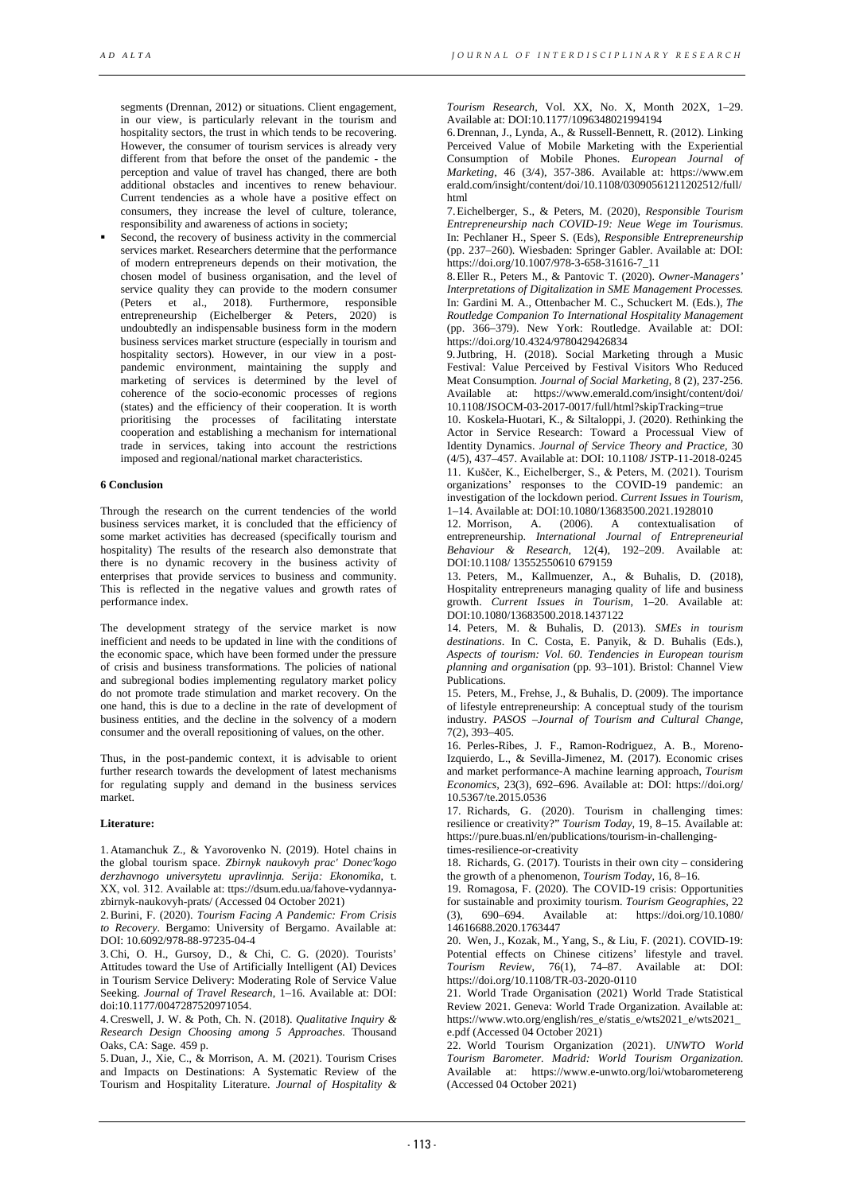segments (Drennan, 2012) or situations. Client engagement, in our view, is particularly relevant in the tourism and hospitality sectors, the trust in which tends to be recovering. However, the consumer of tourism services is already very different from that before the onset of the pandemic - the perception and value of travel has changed, there are both additional obstacles and incentives to renew behaviour. Current tendencies as a whole have a positive effect on consumers, they increase the level of culture, tolerance, responsibility and awareness of actions in society;

 Second, the recovery of business activity in the commercial services market. Researchers determine that the performance of modern entrepreneurs depends on their motivation, the chosen model of business organisation, and the level of service quality they can provide to the modern consumer (Peters  $et$  al., 2018). Furthermore, responsible entrepreneurship (Eichelberger & Peters, 2020) is undoubtedly an indispensable business form in the modern business services market structure (especially in tourism and hospitality sectors). However, in our view in a postpandemic environment, maintaining the supply and marketing of services is determined by the level of coherence of the socio-economic processes of regions (states) and the efficiency of their cooperation. It is worth prioritising the processes of facilitating interstate cooperation and establishing a mechanism for international trade in services, taking into account the restrictions imposed and regional/national market characteristics.

### **6 Conclusion**

Through the research on the current tendencies of the world business services market, it is concluded that the efficiency of some market activities has decreased (specifically tourism and hospitality) The results of the research also demonstrate that there is no dynamic recovery in the business activity of enterprises that provide services to business and community. This is reflected in the negative values and growth rates of performance index.

The development strategy of the service market is now inefficient and needs to be updated in line with the conditions of the economic space, which have been formed under the pressure of crisis and business transformations. The policies of national and subregional bodies implementing regulatory market policy do not promote trade stimulation and market recovery. On the one hand, this is due to a decline in the rate of development of business entities, and the decline in the solvency of a modern consumer and the overall repositioning of values, on the other.

Thus, in the post-pandemic context, it is advisable to orient further research towards the development of latest mechanisms for regulating supply and demand in the business services market.

#### **Literature:**

1.Atamanchuk Z., & Yavorovenko N. (2019). Hotel chains in the global tourism space. *Zbirnyk naukovyh prac' Donec'kogo derzhavnogo universytetu upravlinnja. Serija: Ekonomika*, t. ХХ, vol. 312. Available at: ttps://dsum.edu.ua/fahove-vydannyazbirnyk-naukovyh-prats/ (Accessed 04 October 2021)

2.Burini, F. (2020). *Tourism Facing A Pandemic: From Crisis to Recovery*. Bergamo: University of Bergamo. Available at: DOI: 10.6092/978-88-97235-04-4

3.Chi, O. H., Gursoy, D., & Chi, C. G. (2020). Tourists' Attitudes toward the Use of Artificially Intelligent (AI) Devices in Tourism Service Delivery: Moderating Role of Service Value Seeking. *Journal of Travel Research*, 1–16*.* Available at: DOI: doi:10.1177/0047287520971054.

4.Creswell, J. W. & Poth, Ch. N. (2018). *Qualitative Inquiry & Research Design Choosing among 5 Approaches.* Thousand Oaks, CA: Sage. 459 p.

5.Duan, J., Xie, C., & Morrison, A. M. (2021). Tourism Crises and Impacts on Destinations: A Systematic Review of the Tourism and Hospitality Literature. *Journal of Hospitality &* 

*Tourism Research,* Vol. XX, No. X, Month 202X, 1–29. Available at: DOI:10.1177/1096348021994194

6.Drennan, J., Lynda, A., & Russell-Bennett, R. (2012). Linking Perceived Value of Mobile Marketing with the Experiential Consumption of Mobile Phones. *European Journal of Marketing*, 46 (3/4), 357-386. Available at: https://www.em erald.com/insight/content/doi/10.1108/03090561211202512/full/ html

7.Eichelberger, S., & Peters, M. (2020), *Responsible Tourism Entrepreneurship nach COVID-19: Neue Wege im Tourismus*. In: Pechlaner H., Speer S. (Eds), *Responsible Entrepreneurship*  (pp. 237–260). Wiesbaden: Springer Gabler. Available at: DOI: https://doi.org/10.1007/978-3-658-31616-7\_11

8.Eller R., Peters M., & Pantovic T. (2020). *Owner-Managers' Interpretations of Digitalization in SME Management Processes.* In: Gardini M. A., Ottenbacher M. C., Schuckert M. (Eds.), *The Routledge Companion To International Hospitality Management* (pp. 366–379). New York: Routledge. Available at: DOI: https://doi.org/10.4324/9780429426834

9.Jutbring, H. (2018). Social Marketing through a Music Festival: Value Perceived by Festival Visitors Who Reduced Meat Consumption. *Journal of Social Marketing*, 8 (2), 237-256. Available at: https://www.emerald.com/insight/content/doi/ 10.1108/JSOCM-03-2017-0017/full/html?skipTracking=true

10. Koskela-Huotari, K., & Siltaloppi, J. (2020). Rethinking the Actor in Service Research: Toward a Processual View of Identity Dynamics. *Journal of Service Theory and Practice,* 30 (4/5), 437–457. Available at: DOI: 10.1108/ JSTP-11-2018-0245 11. Kuščer, K., Eichelberger, S., & Peters, M. (2021). Tourism organizations' responses to the COVID-19 pandemic: an investigation of the lockdown period. *Current Issues in Tourism,*  1–14. Available at: DOI:10.1080/13683500.2021.1928010

12. Morrison, A. (2006). A contextualisation of entrepreneurship. *International Journal of Entrepreneurial Behaviour & Research*, 12(4), 192–209. Available at: DOI:10.1108/ 13552550610 679159

13. Peters, M., Kallmuenzer, A., & Buhalis, D. (2018), Hospitality entrepreneurs managing quality of life and business growth. *Current Issues in Tourism*, 1–20. Available at: DOI:10.1080/13683500.2018.1437122

14. Peters, M. & Buhalis, D. (2013). *SMEs in tourism destinations*. In C. Costa, E. Panyik, & D. Buhalis (Eds.), *Aspects of tourism: Vol. 60. Tendencies in European tourism planning and organisation* (pp. 93–101). Bristol: Channel View Publications.

15. Peters, M., Frehse, J., & Buhalis, D. (2009). The importance of lifestyle entrepreneurship: A conceptual study of the tourism industry. *PASOS –Journal of Tourism and Cultural Change,* 7(2), 393–405.

16. Perles-Ribes, J. F., Ramon-Rodriguez, A. B., Moreno-Izquierdo, L., & Sevilla-Jimenez, M. (2017). Economic crises and market performance-A machine learning approach, *Tourism Economics,* 23(3), 692–696. Available at: DOI: https://doi.org/ 10.5367/te.2015.0536

17. Richards, G. (2020). Tourism in challenging times: resilience or creativity?" *Tourism Today,* 19, 8–15. Available at: https://pure.buas.nl/en/publications/tourism-in-challengingtimes-resilience-or-creativity

18. Richards, G. (2017). Tourists in their own city – considering the growth of a phenomenon, *Tourism Today*, 16, 8–16.

19. Romagosa, F. (2020). The COVID-19 crisis: Opportunities for sustainable and proximity tourism. *Tourism Geographies,* 22 (3), 690–694. Available at: https://doi.org/10.1080/ 14616688.2020.1763447

20. Wen, J., Kozak, M., Yang, S., & Liu, F. (2021). COVID-19: Potential effects on Chinese citizens' lifestyle and travel. *Tourism Review*, 76(1), 74–87. Available at: DOI: https://doi.org/10.1108/TR-03-2020-0110

21. World Trade Organisation (2021) World Trade Statistical Review 2021. Geneva: World Trade Organization. Available at: https://www.wto.org/english/res\_e/statis\_e/wts2021\_e/wts2021\_ e.pdf (Accessed 04 October 2021)

22. World Tourism Organization (2021). *UNWTO World Tourism Barometer. Madrid: World Tourism Organization*. Available at: https://www.e-unwto.org/loi/wtobarometereng (Accessed 04 October 2021)